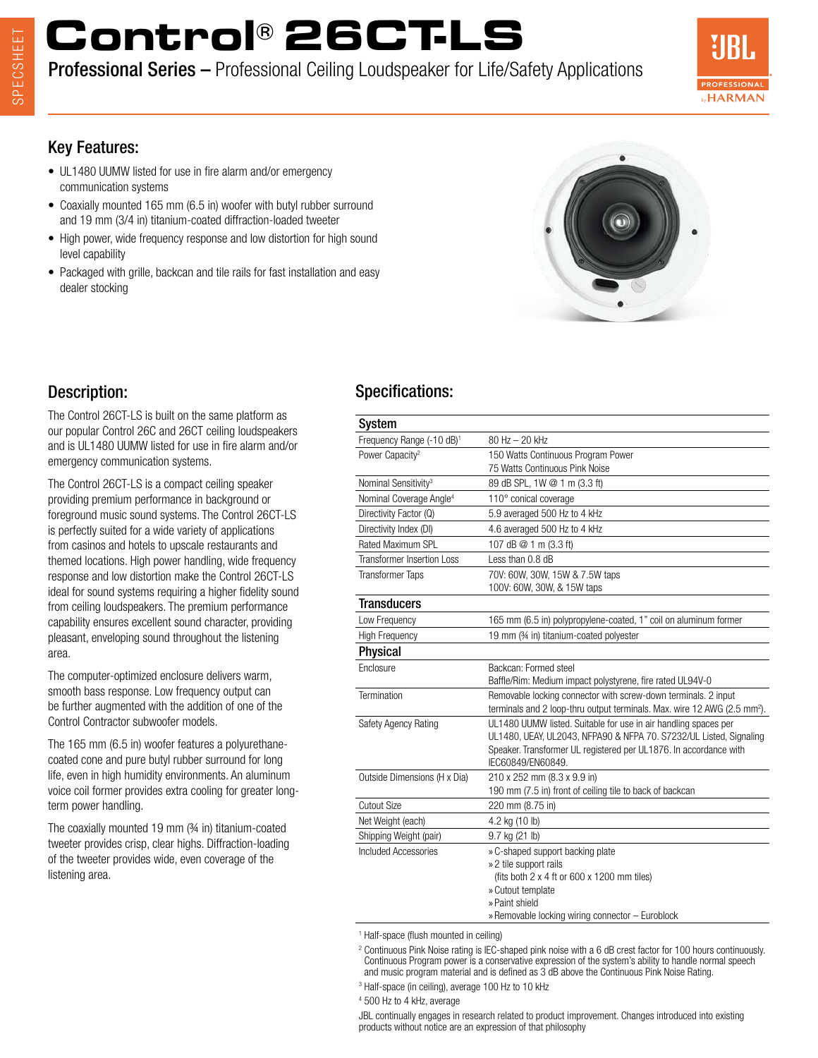# **Control® 26CT-LS**

# Professional Series – Professional Ceiling Loudspeaker for Life/Safety Applications



#### Key Features:

- UL1480 UUMW listed for use in fire alarm and/or emergency communication systems
- Coaxially mounted 165 mm (6.5 in) woofer with butyl rubber surround and 19 mm (3/4 in) titanium-coated diffraction-loaded tweeter
- High power, wide frequency response and low distortion for high sound level capability
- Packaged with grille, backcan and tile rails for fast installation and easy dealer stocking



### Description:

The Control 26CT-LS is built on the same platform as our popular Control 26C and 26CT ceiling loudspeakers and is UL1480 UUMW listed for use in fire alarm and/or emergency communication systems.

The Control 26CT-LS is a compact ceiling speaker providing premium performance in background or foreground music sound systems. The Control 26CT-LS is perfectly suited for a wide variety of applications from casinos and hotels to upscale restaurants and themed locations. High power handling, wide frequency response and low distortion make the Control 26CT-LS ideal for sound systems requiring a higher fidelity sound from ceiling loudspeakers. The premium performance capability ensures excellent sound character, providing pleasant, enveloping sound throughout the listening area.

The computer-optimized enclosure delivers warm, smooth bass response. Low frequency output can be further augmented with the addition of one of the Control Contractor subwoofer models.

The 165 mm (6.5 in) woofer features a polyurethanecoated cone and pure butyl rubber surround for long life, even in high humidity environments. An aluminum voice coil former provides extra cooling for greater longterm power handling.

The coaxially mounted 19 mm (¾ in) titanium-coated tweeter provides crisp, clear highs. Diffraction-loading of the tweeter provides wide, even coverage of the listening area.

# Specifications:

| System                                |                                                                                                                                                                                                                                 |
|---------------------------------------|---------------------------------------------------------------------------------------------------------------------------------------------------------------------------------------------------------------------------------|
| Frequency Range (-10 dB) <sup>1</sup> | $80$ Hz $-$ 20 kHz                                                                                                                                                                                                              |
| Power Capacity <sup>2</sup>           | 150 Watts Continuous Program Power<br>75 Watts Continuous Pink Noise                                                                                                                                                            |
| Nominal Sensitivity <sup>3</sup>      | 89 dB SPL, 1W @ 1 m (3.3 ft)                                                                                                                                                                                                    |
| Nominal Coverage Angle <sup>4</sup>   | 110° conical coverage                                                                                                                                                                                                           |
| Directivity Factor (Q)                | 5.9 averaged 500 Hz to 4 kHz                                                                                                                                                                                                    |
| Directivity Index (DI)                | 4.6 averaged 500 Hz to 4 kHz                                                                                                                                                                                                    |
| Rated Maximum SPL                     | 107 dB @ 1 m (3.3 ft)                                                                                                                                                                                                           |
| Transformer Insertion Loss            | Less than 0.8 dB                                                                                                                                                                                                                |
| <b>Transformer Taps</b>               | 70V: 60W, 30W, 15W & 7.5W taps<br>100V: 60W, 30W, & 15W taps                                                                                                                                                                    |
| Transducers                           |                                                                                                                                                                                                                                 |
| Low Frequency                         | 165 mm (6.5 in) polypropylene-coated, 1" coil on aluminum former                                                                                                                                                                |
| <b>High Frequency</b>                 | 19 mm (34 in) titanium-coated polyester                                                                                                                                                                                         |
| Physical                              |                                                                                                                                                                                                                                 |
| Enclosure                             | Backcan: Formed steel<br>Baffle/Rim: Medium impact polystyrene, fire rated UL94V-0                                                                                                                                              |
| Termination                           | Removable locking connector with screw-down terminals. 2 input<br>terminals and 2 loop-thru output terminals. Max. wire 12 AWG (2.5 mm <sup>2</sup> ).                                                                          |
| Safety Agency Rating                  | UL1480 UUMW listed. Suitable for use in air handling spaces per<br>UL1480, UEAY, UL2043, NFPA90 & NFPA 70. S7232/UL Listed, Signaling<br>Speaker. Transformer UL registered per UL1876. In accordance with<br>IEC60849/EN60849. |
| Outside Dimensions (H x Dia)          | 210 x 252 mm (8.3 x 9.9 in)<br>190 mm (7.5 in) front of ceiling tile to back of backcan                                                                                                                                         |
| <b>Cutout Size</b>                    | 220 mm (8.75 in)                                                                                                                                                                                                                |
| Net Weight (each)                     | 4.2 kg (10 lb)                                                                                                                                                                                                                  |
| Shipping Weight (pair)                | 9.7 kg (21 lb)                                                                                                                                                                                                                  |
| <b>Included Accessories</b>           | » C-shaped support backing plate<br>» 2 tile support rails<br>(fits both $2 \times 4$ ft or 600 $\times$ 1200 mm tiles)<br>» Cutout template<br>» Paint shield<br>» Removable locking wiring connector - Euroblock              |
|                                       |                                                                                                                                                                                                                                 |

1 Half-space (flush mounted in ceiling)

<sup>2</sup> Continuous Pink Noise rating is IEC-shaped pink noise with a 6 dB crest factor for 100 hours continuously. Continuous Program power is a conservative expression of the system's ability to handle normal speech and music program material and is defined as 3 dB above the Continuous Pink Noise Rating.

- 3 Half-space (in ceiling), average 100 Hz to 10 kHz
- 4 500 Hz to 4 kHz, average

JBL continually engages in research related to product improvement. Changes introduced into existing products without notice are an expression of that philosophy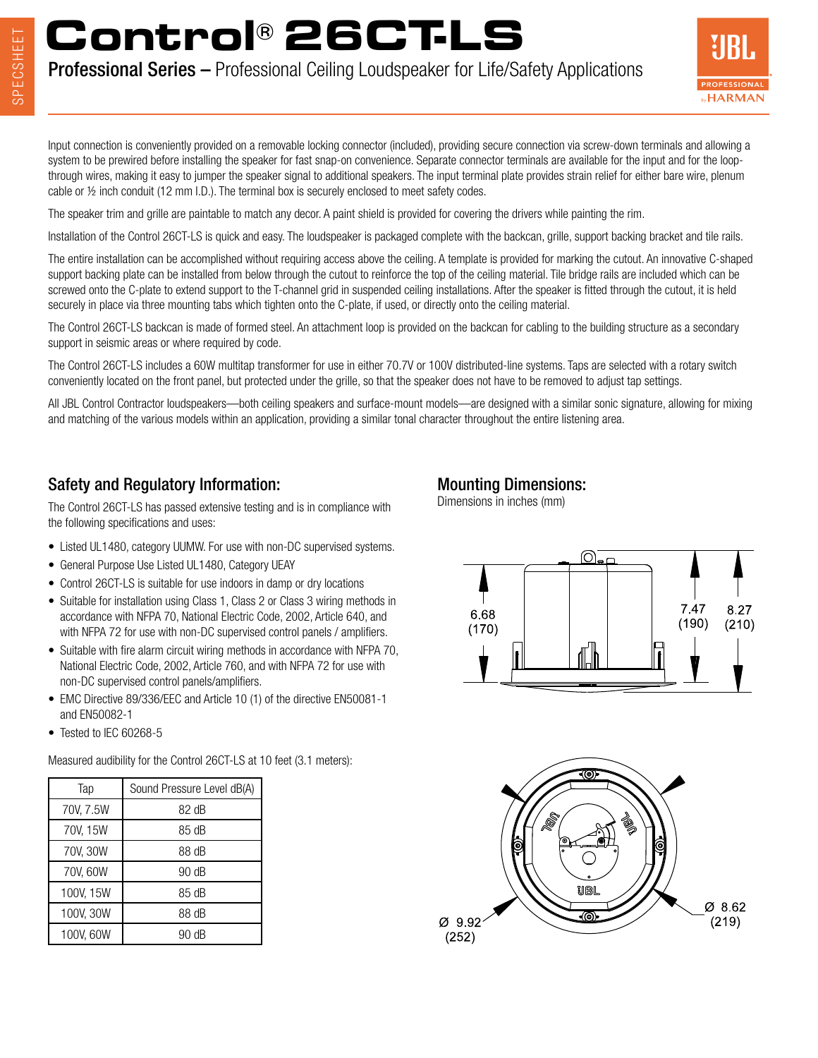# **Control® 26CT-LS**

Professional Series – Professional Ceiling Loudspeaker for Life/Safety Applications



Input connection is conveniently provided on a removable locking connector (included), providing secure connection via screw-down terminals and allowing a system to be prewired before installing the speaker for fast snap-on convenience. Separate connector terminals are available for the input and for the loopthrough wires, making it easy to jumper the speaker signal to additional speakers. The input terminal plate provides strain relief for either bare wire, plenum cable or ½ inch conduit (12 mm I.D.). The terminal box is securely enclosed to meet safety codes.

The speaker trim and grille are paintable to match any decor. A paint shield is provided for covering the drivers while painting the rim.

Installation of the Control 26CT-LS is quick and easy. The loudspeaker is packaged complete with the backcan, grille, support backing bracket and tile rails.

The entire installation can be accomplished without requiring access above the ceiling. A template is provided for marking the cutout. An innovative C-shaped support backing plate can be installed from below through the cutout to reinforce the top of the ceiling material. Tile bridge rails are included which can be screwed onto the C-plate to extend support to the T-channel grid in suspended ceiling installations. After the speaker is fitted through the cutout, it is held securely in place via three mounting tabs which tighten onto the C-plate, if used, or directly onto the ceiling material.

The Control 26CT-LS backcan is made of formed steel. An attachment loop is provided on the backcan for cabling to the building structure as a secondary support in seismic areas or where required by code.

The Control 26CT-LS includes a 60W multitap transformer for use in either 70.7V or 100V distributed-line systems. Taps are selected with a rotary switch conveniently located on the front panel, but protected under the grille, so that the speaker does not have to be removed to adjust tap settings.

All JBL Control Contractor loudspeakers—both ceiling speakers and surface-mount models—are designed with a similar sonic signature, allowing for mixing and matching of the various models within an application, providing a similar tonal character throughout the entire listening area.

### Safety and Regulatory Information:

The Control 26CT-LS has passed extensive testing and is in compliance with the following specifications and uses:

- Listed UL1480, category UUMW. For use with non-DC supervised systems.
- General Purpose Use Listed UL1480, Category UEAY
- Control 26CT-LS is suitable for use indoors in damp or dry locations
- Suitable for installation using Class 1, Class 2 or Class 3 wiring methods in accordance with NFPA 70, National Electric Code, 2002, Article 640, and with NFPA 72 for use with non-DC supervised control panels / amplifiers.
- Suitable with fire alarm circuit wiring methods in accordance with NFPA 70, National Electric Code, 2002, Article 760, and with NFPA 72 for use with non-DC supervised control panels/amplifiers.
- EMC Directive 89/336/EEC and Article 10 (1) of the directive EN50081-1 and EN50082-1
- Tested to IEC 60268-5

Measured audibility for the Control 26CT-LS at 10 feet (3.1 meters):

| Tap       | Sound Pressure Level dB(A) |
|-----------|----------------------------|
| 70V, 7.5W | 82 dB                      |
| 70V, 15W  | 85 dB                      |
| 70V, 30W  | 88 dB                      |
| 70V, 60W  | 90 dB                      |
| 100V, 15W | 85 dB                      |
| 100V, 30W | 88 dB                      |
| 100V, 60W | 90 dB                      |

#### Mounting Dimensions:

Dimensions in inches (mm)



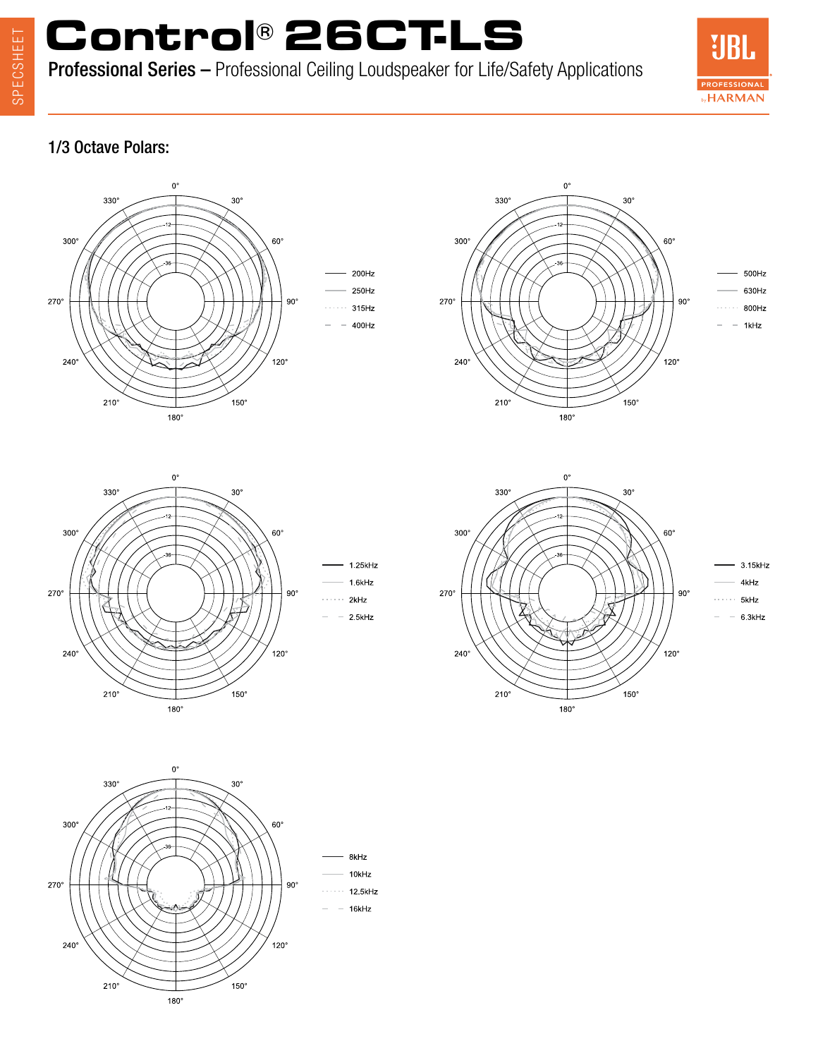# SPECSHEET SPECSHEET

# **Control® 26CT-LS**

Professional Series – Professional Ceiling Loudspeaker for Life/Safety Applications



### 1/3 Octave Polars: